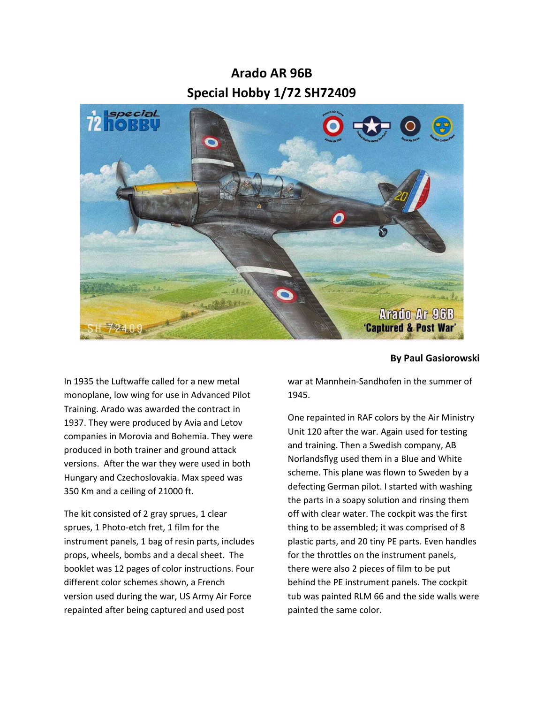## **Arado AR 96B Special Hobby 1/72 SH72409**



**By Paul Gasiorowski**

In 1935 the Luftwaffe called for a new metal monoplane, low wing for use in Advanced Pilot Training. Arado was awarded the contract in 1937. They were produced by Avia and Letov companies in Morovia and Bohemia. They were produced in both trainer and ground attack versions. After the war they were used in both Hungary and Czechoslovakia. Max speed was 350 Km and a ceiling of 21000 ft.

The kit consisted of 2 gray sprues, 1 clear sprues, 1 Photo-etch fret, 1 film for the instrument panels, 1 bag of resin parts, includes props, wheels, bombs and a decal sheet. The booklet was 12 pages of color instructions. Four different color schemes shown, a French version used during the war, US Army Air Force repainted after being captured and used post

war at Mannhein-Sandhofen in the summer of 1945.

One repainted in RAF colors by the Air Ministry Unit 120 after the war. Again used for testing and training. Then a Swedish company, AB Norlandsflyg used them in a Blue and White scheme. This plane was flown to Sweden by a defecting German pilot. I started with washing the parts in a soapy solution and rinsing them off with clear water. The cockpit was the first thing to be assembled; it was comprised of 8 plastic parts, and 20 tiny PE parts. Even handles for the throttles on the instrument panels, there were also 2 pieces of film to be put behind the PE instrument panels. The cockpit tub was painted RLM 66 and the side walls were painted the same color.